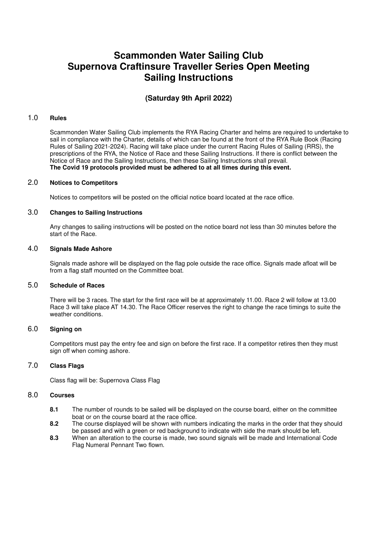# **Scammonden Water Sailing Club Supernova Craftinsure Traveller Series Open Meeting Sailing Instructions**

## **(Saturday 9th April 2022)**

#### 1.0 **Rules**

Scammonden Water Sailing Club implements the RYA Racing Charter and helms are required to undertake to sail in compliance with the Charter, details of which can be found at the front of the RYA Rule Book (Racing Rules of Sailing 2021-2024). Racing will take place under the current Racing Rules of Sailing (RRS), the prescriptions of the RYA, the Notice of Race and these Sailing Instructions. If there is conflict between the Notice of Race and the Sailing Instructions, then these Sailing Instructions shall prevail.  **The Covid 19 protocols provided must be adhered to at all times during this event.**

#### 2.0 **Notices to Competitors**

Notices to competitors will be posted on the official notice board located at the race office.

## 3.0 **Changes to Sailing Instructions**

Any changes to sailing instructions will be posted on the notice board not less than 30 minutes before the start of the Race.

#### 4.0 **Signals Made Ashore**

Signals made ashore will be displayed on the flag pole outside the race office. Signals made afloat will be from a flag staff mounted on the Committee boat.

#### 5.0 **Schedule of Races**

There will be 3 races. The start for the first race will be at approximately 11.00. Race 2 will follow at 13.00 Race 3 will take place AT 14.30. The Race Officer reserves the right to change the race timings to suite the weather conditions.

## 6.0 **Signing on**

Competitors must pay the entry fee and sign on before the first race. If a competitor retires then they must sign off when coming ashore.

## 7.0 **Class Flags**

Class flag will be: Supernova Class Flag

#### 8.0 **Courses**

- **8.1** The number of rounds to be sailed will be displayed on the course board, either on the committee boat or on the course board at the race office.
- **8.2** The course displayed will be shown with numbers indicating the marks in the order that they should be passed and with a green or red background to indicate with side the mark should be left.
- **8.3** When an alteration to the course is made, two sound signals will be made and International Code Flag Numeral Pennant Two flown.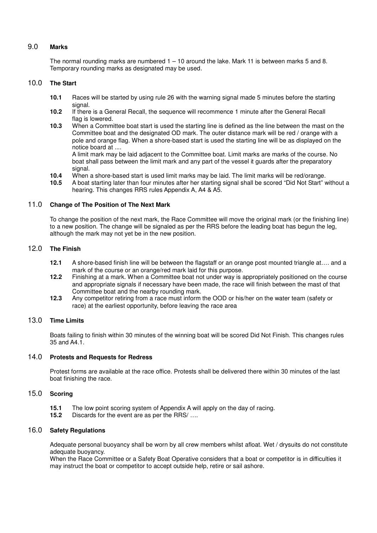## 9.0 **Marks**

The normal rounding marks are numbered 1 – 10 around the lake. Mark 11 is between marks 5 and 8. Temporary rounding marks as designated may be used.

## 10.0 **The Start**

- **10.1** Races will be started by using rule 26 with the warning signal made 5 minutes before the starting signal.
- **10.2** If there is a General Recall, the sequence will recommence 1 minute after the General Recall flag is lowered.
- **10.3** When a Committee boat start is used the starting line is defined as the line between the mast on the Committee boat and the designated OD mark. The outer distance mark will be red / orange with a pole and orange flag. When a shore-based start is used the starting line will be as displayed on the notice board at ....

A limit mark may be laid adjacent to the Committee boat. Limit marks are marks of the course. No boat shall pass between the limit mark and any part of the vessel it guards after the preparatory signal.

- **10.4** When a shore-based start is used limit marks may be laid. The limit marks will be red/orange.
- **10.5** A boat starting later than four minutes after her starting signal shall be scored "Did Not Start" without a hearing. This changes RRS rules Appendix A, A4 & A5.

## 11.0 **Change of The Position of The Next Mark**

To change the position of the next mark, the Race Committee will move the original mark (or the finishing line) to a new position. The change will be signaled as per the RRS before the leading boat has begun the leg, although the mark may not yet be in the new position.

## 12.0 **The Finish**

- **12.1** A shore-based finish line will be between the flagstaff or an orange post mounted triangle at…. and a mark of the course or an orange/red mark laid for this purpose.
- **12.2** Finishing at a mark. When a Committee boat not under way is appropriately positioned on the course and appropriate signals if necessary have been made, the race will finish between the mast of that Committee boat and the nearby rounding mark.
- **12.3** Any competitor retiring from a race must inform the OOD or his/her on the water team (safety or race) at the earliest opportunity, before leaving the race area

## 13.0 **Time Limits**

Boats failing to finish within 30 minutes of the winning boat will be scored Did Not Finish. This changes rules 35 and A4.1.

#### 14.0 **Protests and Requests for Redress**

Protest forms are available at the race office. Protests shall be delivered there within 30 minutes of the last boat finishing the race.

## 15.0 **Scoring**

- **15.1** The low point scoring system of Appendix A will apply on the day of racing.<br>**15.2** Discards for the event are as per the RRS/ ...
- **15.2** Discards for the event are as per the RRS/ ….

#### 16.0 **Safety Regulations**

Adequate personal buoyancy shall be worn by all crew members whilst afloat. Wet / drysuits do not constitute adequate buoyancy.

When the Race Committee or a Safety Boat Operative considers that a boat or competitor is in difficulties it may instruct the boat or competitor to accept outside help, retire or sail ashore.